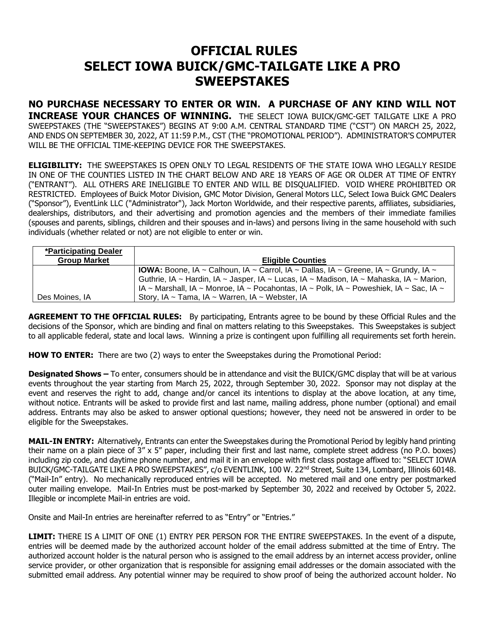## **OFFICIAL RULES SELECT IOWA BUICK/GMC-TAILGATE LIKE A PRO SWEEPSTAKES**

**NO PURCHASE NECESSARY TO ENTER OR WIN. A PURCHASE OF ANY KIND WILL NOT INCREASE YOUR CHANCES OF WINNING.** THE SELECT IOWA BUICK/GMC-GET TAILGATE LIKE A PRO SWEEPSTAKES (THE "SWEEPSTAKES") BEGINS AT 9:00 A.M. CENTRAL STANDARD TIME ("CST") ON MARCH 25, 2022, AND ENDS ON SEPTEMBER 30, 2022, AT 11:59 P.M., CST (THE "PROMOTIONAL PERIOD"). ADMINISTRATOR'S COMPUTER WILL BE THE OFFICIAL TIME-KEEPING DEVICE FOR THE SWEEPSTAKES.

**ELIGIBILITY:** THE SWEEPSTAKES IS OPEN ONLY TO LEGAL RESIDENTS OF THE STATE IOWA WHO LEGALLY RESIDE IN ONE OF THE COUNTIES LISTED IN THE CHART BELOW AND ARE 18 YEARS OF AGE OR OLDER AT TIME OF ENTRY ("ENTRANT"). ALL OTHERS ARE INELIGIBLE TO ENTER AND WILL BE DISQUALIFIED. VOID WHERE PROHIBITED OR RESTRICTED. Employees of Buick Motor Division, GMC Motor Division, General Motors LLC, Select Iowa Buick GMC Dealers ("Sponsor"), EventLink LLC ("Administrator"), Jack Morton Worldwide, and their respective parents, affiliates, subsidiaries, dealerships, distributors, and their advertising and promotion agencies and the members of their immediate families (spouses and parents, siblings, children and their spouses and in-laws) and persons living in the same household with such individuals (whether related or not) are not eligible to enter or win.

| *Participating Dealer |                                                                                            |
|-----------------------|--------------------------------------------------------------------------------------------|
| <b>Group Market</b>   | <b>Eligible Counties</b>                                                                   |
|                       | <b>IOWA:</b> Boone, IA ~ Calhoun, IA ~ Carrol, IA ~ Dallas, IA ~ Greene, IA ~ Grundy, IA ~ |
|                       | Guthrie, IA ~ Hardin, IA ~ Jasper, IA ~ Lucas, IA ~ Madison, IA ~ Mahaska, IA ~ Marion,    |
|                       | IA ~ Marshall, IA ~ Monroe, IA ~ Pocahontas, IA ~ Polk, IA ~ Poweshiek, IA ~ Sac, IA ~     |
| Des Moines. IA        | Story, IA ~ Tama, IA ~ Warren, IA ~ Webster, IA                                            |

**AGREEMENT TO THE OFFICIAL RULES:** By participating, Entrants agree to be bound by these Official Rules and the decisions of the Sponsor, which are binding and final on matters relating to this Sweepstakes. This Sweepstakes is subject to all applicable federal, state and local laws. Winning a prize is contingent upon fulfilling all requirements set forth herein.

**HOW TO ENTER:** There are two (2) ways to enter the Sweepstakes during the Promotional Period:

**Designated Shows –** To enter, consumers should be in attendance and visit the BUICK/GMC display that will be at various events throughout the year starting from March 25, 2022, through September 30, 2022. Sponsor may not display at the event and reserves the right to add, change and/or cancel its intentions to display at the above location, at any time, without notice. Entrants will be asked to provide first and last name, mailing address, phone number (optional) and email address. Entrants may also be asked to answer optional questions; however, they need not be answered in order to be eligible for the Sweepstakes.

**MAIL-IN ENTRY:** Alternatively, Entrants can enter the Sweepstakes during the Promotional Period by legibly hand printing their name on a plain piece of 3" x 5" paper, including their first and last name, complete street address (no P.O. boxes) including zip code, and daytime phone number, and mail it in an envelope with first class postage affixed to: "SELECT IOWA BUICK/GMC-TAILGATE LIKE A PRO SWEEPSTAKES", c/o EVENTLINK, 100 W. 22<sup>nd</sup> Street, Suite 134, Lombard, Illinois 60148. ("Mail-In" entry). No mechanically reproduced entries will be accepted. No metered mail and one entry per postmarked outer mailing envelope. Mail-In Entries must be post-marked by September 30, 2022 and received by October 5, 2022. Illegible or incomplete Mail-in entries are void.

Onsite and Mail-In entries are hereinafter referred to as "Entry" or "Entries."

**LIMIT:** THERE IS A LIMIT OF ONE (1) ENTRY PER PERSON FOR THE ENTIRE SWEEPSTAKES. In the event of a dispute, entries will be deemed made by the authorized account holder of the email address submitted at the time of Entry. The authorized account holder is the natural person who is assigned to the email address by an internet access provider, online service provider, or other organization that is responsible for assigning email addresses or the domain associated with the submitted email address. Any potential winner may be required to show proof of being the authorized account holder. No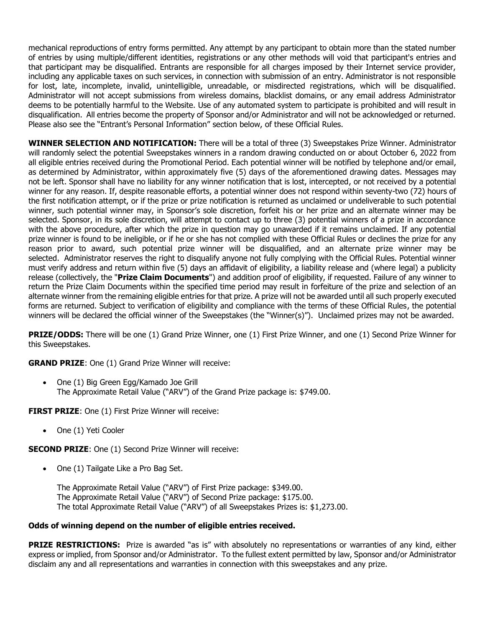mechanical reproductions of entry forms permitted. Any attempt by any participant to obtain more than the stated number of entries by using multiple/different identities, registrations or any other methods will void that participant's entries and that participant may be disqualified. Entrants are responsible for all charges imposed by their Internet service provider, including any applicable taxes on such services, in connection with submission of an entry. Administrator is not responsible for lost, late, incomplete, invalid, unintelligible, unreadable, or misdirected registrations, which will be disqualified. Administrator will not accept submissions from wireless domains, blacklist domains, or any email address Administrator deems to be potentially harmful to the Website. Use of any automated system to participate is prohibited and will result in disqualification. All entries become the property of Sponsor and/or Administrator and will not be acknowledged or returned. Please also see the "Entrant's Personal Information" section below, of these Official Rules.

**WINNER SELECTION AND NOTIFICATION:** There will be a total of three (3) Sweepstakes Prize Winner. Administrator will randomly select the potential Sweepstakes winners in a random drawing conducted on or about October 6, 2022 from all eligible entries received during the Promotional Period. Each potential winner will be notified by telephone and/or email, as determined by Administrator, within approximately five (5) days of the aforementioned drawing dates. Messages may not be left. Sponsor shall have no liability for any winner notification that is lost, intercepted, or not received by a potential winner for any reason. If, despite reasonable efforts, a potential winner does not respond within seventy-two (72) hours of the first notification attempt, or if the prize or prize notification is returned as unclaimed or undeliverable to such potential winner, such potential winner may, in Sponsor's sole discretion, forfeit his or her prize and an alternate winner may be selected. Sponsor, in its sole discretion, will attempt to contact up to three (3) potential winners of a prize in accordance with the above procedure, after which the prize in question may go unawarded if it remains unclaimed. If any potential prize winner is found to be ineligible, or if he or she has not complied with these Official Rules or declines the prize for any reason prior to award, such potential prize winner will be disqualified, and an alternate prize winner may be selected. Administrator reserves the right to disqualify anyone not fully complying with the Official Rules. Potential winner must verify address and return within five (5) days an affidavit of eligibility, a liability release and (where legal) a publicity release (collectively, the "**Prize Claim Documents**") and addition proof of eligibility, if requested. Failure of any winner to return the Prize Claim Documents within the specified time period may result in forfeiture of the prize and selection of an alternate winner from the remaining eligible entries for that prize. A prize will not be awarded until all such properly executed forms are returned. Subject to verification of eligibility and compliance with the terms of these Official Rules, the potential winners will be declared the official winner of the Sweepstakes (the "Winner(s)"). Unclaimed prizes may not be awarded.

**PRIZE/ODDS:** There will be one (1) Grand Prize Winner, one (1) First Prize Winner, and one (1) Second Prize Winner for this Sweepstakes.

**GRAND PRIZE**: One (1) Grand Prize Winner will receive:

• One (1) Big Green Egg/Kamado Joe Grill The Approximate Retail Value ("ARV") of the Grand Prize package is: \$749.00.

**FIRST PRIZE:** One (1) First Prize Winner will receive:

• One (1) Yeti Cooler

**SECOND PRIZE:** One (1) Second Prize Winner will receive:

• One (1) Tailgate Like a Pro Bag Set.

The Approximate Retail Value ("ARV") of First Prize package: \$349.00. The Approximate Retail Value ("ARV") of Second Prize package: \$175.00. The total Approximate Retail Value ("ARV") of all Sweepstakes Prizes is: \$1,273.00.

## **Odds of winning depend on the number of eligible entries received.**

**PRIZE RESTRICTIONS:** Prize is awarded "as is" with absolutely no representations or warranties of any kind, either express or implied, from Sponsor and/or Administrator. To the fullest extent permitted by law, Sponsor and/or Administrator disclaim any and all representations and warranties in connection with this sweepstakes and any prize.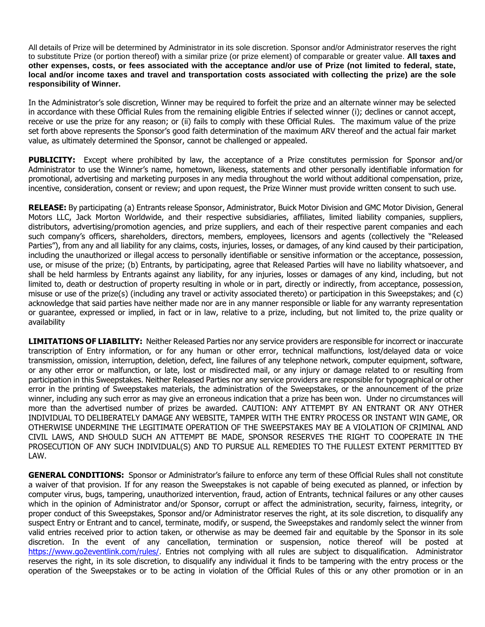All details of Prize will be determined by Administrator in its sole discretion. Sponsor and/or Administrator reserves the right to substitute Prize (or portion thereof) with a similar prize (or prize element) of comparable or greater value. **All taxes and other expenses, costs, or fees associated with the acceptance and/or use of Prize (not limited to federal, state, local and/or income taxes and travel and transportation costs associated with collecting the prize) are the sole responsibility of Winner.**

In the Administrator's sole discretion, Winner may be required to forfeit the prize and an alternate winner may be selected in accordance with these Official Rules from the remaining eligible Entries if selected winner (i); declines or cannot accept, receive or use the prize for any reason; or (ii) fails to comply with these Official Rules. The maximum value of the prize set forth above represents the Sponsor's good faith determination of the maximum ARV thereof and the actual fair market value, as ultimately determined the Sponsor, cannot be challenged or appealed.

**PUBLICITY:** Except where prohibited by law, the acceptance of a Prize constitutes permission for Sponsor and/or Administrator to use the Winner's name, hometown, likeness, statements and other personally identifiable information for promotional, advertising and marketing purposes in any media throughout the world without additional compensation, prize, incentive, consideration, consent or review; and upon request, the Prize Winner must provide written consent to such use.

**RELEASE:** By participating (a) Entrants release Sponsor, Administrator, Buick Motor Division and GMC Motor Division, General Motors LLC, Jack Morton Worldwide, and their respective subsidiaries, affiliates, limited liability companies, suppliers, distributors, advertising/promotion agencies, and prize suppliers, and each of their respective parent companies and each such company's officers, shareholders, directors, members, employees, licensors and agents (collectively the "Released Parties"), from any and all liability for any claims, costs, injuries, losses, or damages, of any kind caused by their participation, including the unauthorized or illegal access to personally identifiable or sensitive information or the acceptance, possession, use, or misuse of the prize; (b) Entrants, by participating, agree that Released Parties will have no liability whatsoever, and shall be held harmless by Entrants against any liability, for any injuries, losses or damages of any kind, including, but not limited to, death or destruction of property resulting in whole or in part, directly or indirectly, from acceptance, possession, misuse or use of the prize(s) (including any travel or activity associated thereto) or participation in this Sweepstakes; and (c) acknowledge that said parties have neither made nor are in any manner responsible or liable for any warranty representation or guarantee, expressed or implied, in fact or in law, relative to a prize, including, but not limited to, the prize quality or availability

**LIMITATIONS OF LIABILITY:** Neither Released Parties nor any service providers are responsible for incorrect or inaccurate transcription of Entry information, or for any human or other error, technical malfunctions, lost/delayed data or voice transmission, omission, interruption, deletion, defect, line failures of any telephone network, computer equipment, software, or any other error or malfunction, or late, lost or misdirected mail, or any injury or damage related to or resulting from participation in this Sweepstakes. Neither Released Parties nor any service providers are responsible for typographical or other error in the printing of Sweepstakes materials, the administration of the Sweepstakes, or the announcement of the prize winner, including any such error as may give an erroneous indication that a prize has been won. Under no circumstances will more than the advertised number of prizes be awarded. CAUTION: ANY ATTEMPT BY AN ENTRANT OR ANY OTHER INDIVIDUAL TO DELIBERATELY DAMAGE ANY WEBSITE, TAMPER WITH THE ENTRY PROCESS OR INSTANT WIN GAME, OR OTHERWISE UNDERMINE THE LEGITIMATE OPERATION OF THE SWEEPSTAKES MAY BE A VIOLATION OF CRIMINAL AND CIVIL LAWS, AND SHOULD SUCH AN ATTEMPT BE MADE, SPONSOR RESERVES THE RIGHT TO COOPERATE IN THE PROSECUTION OF ANY SUCH INDIVIDUAL(S) AND TO PURSUE ALL REMEDIES TO THE FULLEST EXTENT PERMITTED BY LAW.

**GENERAL CONDITIONS:** Sponsor or Administrator's failure to enforce any term of these Official Rules shall not constitute a waiver of that provision. If for any reason the Sweepstakes is not capable of being executed as planned, or infection by computer virus, bugs, tampering, unauthorized intervention, fraud, action of Entrants, technical failures or any other causes which in the opinion of Administrator and/or Sponsor, corrupt or affect the administration, security, fairness, integrity, or proper conduct of this Sweepstakes, Sponsor and/or Administrator reserves the right, at its sole discretion, to disqualify any suspect Entry or Entrant and to cancel, terminate, modify, or suspend, the Sweepstakes and randomly select the winner from valid entries received prior to action taken, or otherwise as may be deemed fair and equitable by the Sponsor in its sole discretion. In the event of any cancellation, termination or suspension, notice thereof will be posted at [https://www.go2eventlink.com/rules/.](https://www.go2eventlink.com/rules/) Entries not complying with all rules are subject to disqualification. Administrator reserves the right, in its sole discretion, to disqualify any individual it finds to be tampering with the entry process or the operation of the Sweepstakes or to be acting in violation of the Official Rules of this or any other promotion or in an